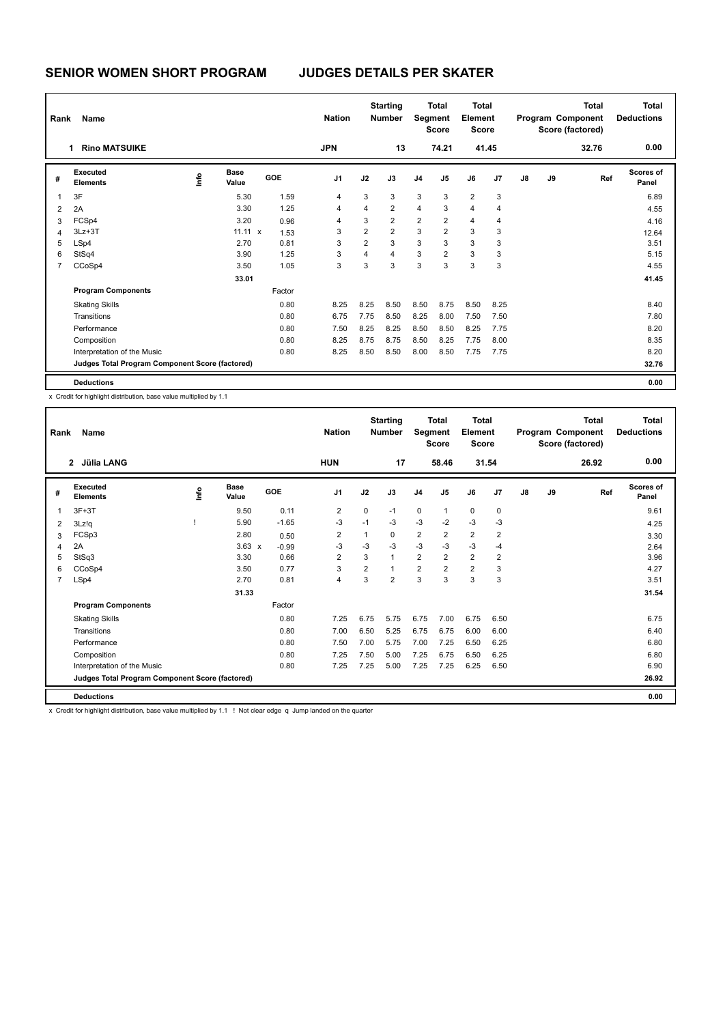| Rank           | Name                                            | <b>Nation</b> |                      | <b>Starting</b><br><b>Number</b> |                | <b>Total</b><br>Segment<br><b>Score</b> | <b>Total</b><br>Element<br><b>Score</b> |                |                |                | Total<br>Program Component<br>Score (factored) | <b>Total</b><br><b>Deductions</b> |    |       |                           |
|----------------|-------------------------------------------------|---------------|----------------------|----------------------------------|----------------|-----------------------------------------|-----------------------------------------|----------------|----------------|----------------|------------------------------------------------|-----------------------------------|----|-------|---------------------------|
|                | <b>Rino MATSUIKE</b><br>1                       |               |                      |                                  | <b>JPN</b>     |                                         | 13                                      |                | 74.21          |                | 41.45                                          |                                   |    | 32.76 | 0.00                      |
| #              | Executed<br><b>Elements</b>                     | ١mfo          | <b>Base</b><br>Value | <b>GOE</b>                       | J <sub>1</sub> | J2                                      | J3                                      | J <sub>4</sub> | J <sub>5</sub> | J6             | J7                                             | $\mathsf{J}8$                     | J9 | Ref   | <b>Scores of</b><br>Panel |
| 1              | 3F                                              |               | 5.30                 | 1.59                             | 4              | 3                                       | 3                                       | 3              | 3              | $\overline{2}$ | 3                                              |                                   |    |       | 6.89                      |
| $\overline{2}$ | 2A                                              |               | 3.30                 | 1.25                             | 4              | 4                                       | $\overline{2}$                          | $\overline{4}$ | 3              | $\overline{4}$ | 4                                              |                                   |    |       | 4.55                      |
| 3              | FCSp4                                           |               | 3.20                 | 0.96                             | 4              | 3                                       | $\overline{2}$                          | $\overline{2}$ | 2              | $\overline{4}$ | 4                                              |                                   |    |       | 4.16                      |
| 4              | $3Lz + 3T$                                      |               | 11.11 x              | 1.53                             | 3              | $\overline{2}$                          | $\overline{2}$                          | 3              | $\overline{2}$ | 3              | 3                                              |                                   |    |       | 12.64                     |
| 5              | LSp4                                            |               | 2.70                 | 0.81                             | 3              | $\overline{2}$                          | 3                                       | 3              | 3              | 3              | 3                                              |                                   |    |       | 3.51                      |
| 6              | StSq4                                           |               | 3.90                 | 1.25                             | 3              | 4                                       | $\overline{4}$                          | 3              | $\overline{2}$ | 3              | 3                                              |                                   |    |       | 5.15                      |
| $\overline{7}$ | CCoSp4                                          |               | 3.50                 | 1.05                             | 3              | 3                                       | 3                                       | 3              | 3              | 3              | 3                                              |                                   |    |       | 4.55                      |
|                |                                                 |               | 33.01                |                                  |                |                                         |                                         |                |                |                |                                                |                                   |    |       | 41.45                     |
|                | <b>Program Components</b>                       |               |                      | Factor                           |                |                                         |                                         |                |                |                |                                                |                                   |    |       |                           |
|                | <b>Skating Skills</b>                           |               |                      | 0.80                             | 8.25           | 8.25                                    | 8.50                                    | 8.50           | 8.75           | 8.50           | 8.25                                           |                                   |    |       | 8.40                      |
|                | Transitions                                     |               |                      | 0.80                             | 6.75           | 7.75                                    | 8.50                                    | 8.25           | 8.00           | 7.50           | 7.50                                           |                                   |    |       | 7.80                      |
|                | Performance                                     |               |                      | 0.80                             | 7.50           | 8.25                                    | 8.25                                    | 8.50           | 8.50           | 8.25           | 7.75                                           |                                   |    |       | 8.20                      |
|                | Composition                                     |               |                      | 0.80                             | 8.25           | 8.75                                    | 8.75                                    | 8.50           | 8.25           | 7.75           | 8.00                                           |                                   |    |       | 8.35                      |
|                | Interpretation of the Music                     |               |                      | 0.80                             | 8.25           | 8.50                                    | 8.50                                    | 8.00           | 8.50           | 7.75           | 7.75                                           |                                   |    |       | 8.20                      |
|                | Judges Total Program Component Score (factored) |               |                      |                                  |                |                                         |                                         |                |                |                |                                                |                                   |    |       | 32.76                     |
|                | <b>Deductions</b>                               |               |                      |                                  |                |                                         |                                         |                |                |                |                                                |                                   |    |       | 0.00                      |

x Credit for highlight distribution, base value multiplied by 1.1

| Rank           | Name                                            |    |                      |            | <b>Nation</b>                      |                | <b>Starting</b><br><b>Number</b> | Segment        | <b>Total</b><br><b>Score</b> | <b>Total</b><br>Element<br><b>Score</b> |                |    |    | <b>Total</b><br>Program Component<br>Score (factored) | <b>Total</b><br><b>Deductions</b> |
|----------------|-------------------------------------------------|----|----------------------|------------|------------------------------------|----------------|----------------------------------|----------------|------------------------------|-----------------------------------------|----------------|----|----|-------------------------------------------------------|-----------------------------------|
|                | 2 Jülia LANG                                    |    |                      |            | <b>HUN</b>                         |                | 17                               |                | 58.46                        |                                         | 31.54          |    |    | 26.92                                                 | 0.00                              |
| #              | Executed<br><b>Elements</b>                     | ۴ů | <b>Base</b><br>Value | <b>GOE</b> | J <sub>1</sub>                     | J2             | J3                               | J <sub>4</sub> | J <sub>5</sub>               | J6                                      | J <sub>7</sub> | J8 | J9 | Ref                                                   | <b>Scores of</b><br>Panel         |
| 1              | $3F+3T$                                         |    | 9.50                 | 0.11       | $\overline{2}$                     | $\mathbf 0$    | $-1$                             | $\mathbf 0$    | $\mathbf{1}$                 | $\mathbf 0$                             | 0              |    |    |                                                       | 9.61                              |
| 2              | 3Lz!q                                           |    | 5.90                 | $-1.65$    | $-3$                               | $-1$           | $-3$                             | $-3$           | $-2$                         | $-3$                                    | $-3$           |    |    |                                                       | 4.25                              |
| 3              | FCSp3                                           |    | 2.80                 | 0.50       | 2                                  | 1              | $\Omega$                         | $\overline{2}$ | 2                            | $\overline{2}$                          | 2              |    |    |                                                       | 3.30                              |
| 4              | 2A                                              |    | $3.63 \times$        | $-0.99$    | $-3$                               | $-3$           | $-3$                             | $-3$           | $-3$                         | $-3$                                    | -4             |    |    |                                                       | 2.64                              |
| 5              | StSq3                                           |    | 3.30                 | 0.66       | 2                                  | 3              | $\mathbf{1}$                     | 2              | 2                            | $\overline{2}$                          | $\overline{2}$ |    |    |                                                       | 3.96                              |
| 6              | CCoSp4                                          |    | 3.50                 | 0.77       | 3                                  | $\overline{2}$ | $\overline{1}$                   | $\overline{2}$ | $\overline{2}$               | $\overline{2}$                          | 3              |    |    |                                                       | 4.27                              |
| $\overline{7}$ | LSp4                                            |    | 2.70                 | 0.81       | 4                                  | 3              | $\overline{2}$                   | 3              | 3                            | 3                                       | 3              |    |    |                                                       | 3.51                              |
|                |                                                 |    | 31.33                |            |                                    |                |                                  |                |                              |                                         |                |    |    |                                                       | 31.54                             |
|                | <b>Program Components</b>                       |    |                      | Factor     |                                    |                |                                  |                |                              |                                         |                |    |    |                                                       |                                   |
|                | <b>Skating Skills</b>                           |    |                      | 0.80       | 7.25                               | 6.75           | 5.75                             | 6.75           | 7.00                         | 6.75                                    | 6.50           |    |    |                                                       | 6.75                              |
|                | Transitions                                     |    |                      | 0.80       | 7.00                               | 6.50           | 5.25                             | 6.75           | 6.75                         | 6.00                                    | 6.00           |    |    |                                                       | 6.40                              |
|                | Performance                                     |    |                      | 0.80       | 7.50                               | 7.00           | 5.75                             | 7.00           | 7.25                         | 6.50                                    | 6.25           |    |    |                                                       | 6.80                              |
|                | Composition                                     |    |                      | 0.80       | 7.25                               | 7.50           | 5.00                             | 7.25           | 6.75                         | 6.50                                    | 6.25           |    |    |                                                       | 6.80                              |
|                | Interpretation of the Music                     |    |                      | 0.80       | 7.25                               | 7.25           | 5.00                             | 7.25           | 7.25                         | 6.25                                    | 6.50           |    |    |                                                       | 6.90                              |
|                | Judges Total Program Component Score (factored) |    |                      |            |                                    |                |                                  |                |                              |                                         |                |    |    |                                                       | 26.92                             |
|                | <b>Deductions</b>                               |    |                      |            |                                    |                |                                  |                |                              |                                         |                |    |    |                                                       | 0.00                              |
|                | .                                               |    | .                    |            | $\sim$ $\sim$ $\sim$ $\sim$ $\sim$ |                |                                  |                |                              |                                         |                |    |    |                                                       |                                   |

x Credit for highlight distribution, base value multiplied by 1.1 ! Not clear edge q Jump landed on the quarter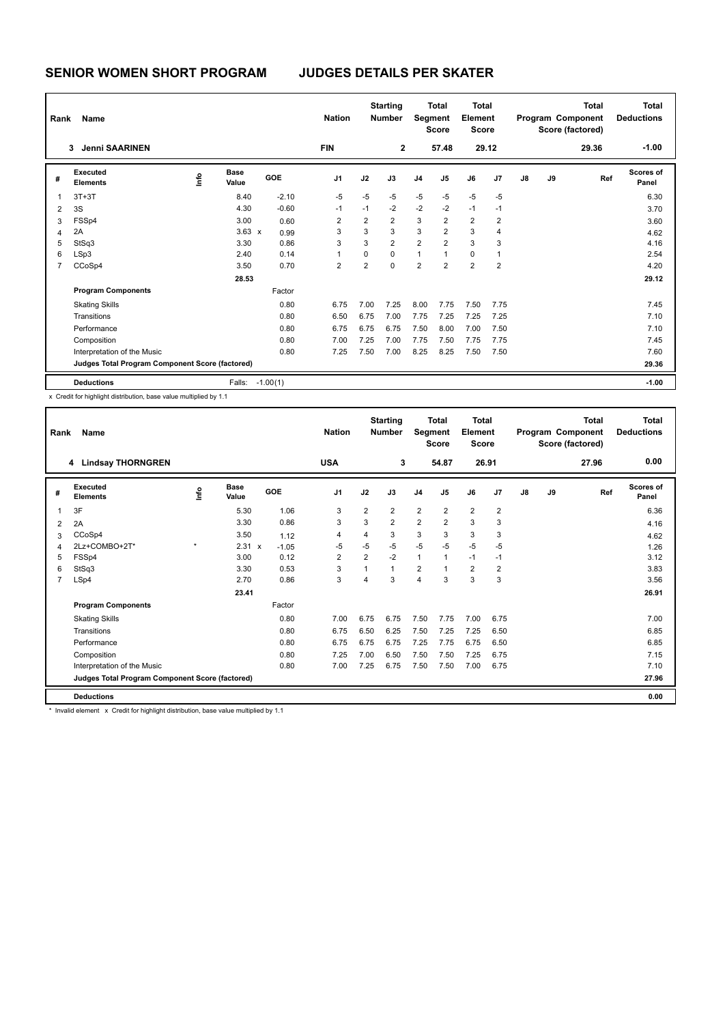| Rank | Name                                            |    |               |            | <b>Nation</b>  |                | <b>Starting</b><br><b>Number</b> | Segment        | <b>Total</b><br><b>Score</b> | Total<br>Element<br><b>Score</b> |                |    |    | <b>Total</b><br>Program Component<br>Score (factored) | <b>Total</b><br><b>Deductions</b> |
|------|-------------------------------------------------|----|---------------|------------|----------------|----------------|----------------------------------|----------------|------------------------------|----------------------------------|----------------|----|----|-------------------------------------------------------|-----------------------------------|
|      | <b>Jenni SAARINEN</b><br>3                      |    |               |            | <b>FIN</b>     |                | $\mathbf{2}$                     |                | 57.48                        |                                  | 29.12          |    |    | 29.36                                                 | $-1.00$                           |
| #    | Executed<br><b>Elements</b>                     | ١m | Base<br>Value | <b>GOE</b> | J <sub>1</sub> | J2             | J3                               | J <sub>4</sub> | J <sub>5</sub>               | J6                               | J <sub>7</sub> | J8 | J9 | Ref                                                   | Scores of<br>Panel                |
| 1    | $3T+3T$                                         |    | 8.40          | $-2.10$    | $-5$           | $-5$           | $-5$                             | $-5$           | $-5$                         | $-5$                             | $-5$           |    |    |                                                       | 6.30                              |
| 2    | 3S                                              |    | 4.30          | $-0.60$    | $-1$           | $-1$           | $-2$                             | $-2$           | $-2$                         | $-1$                             | $-1$           |    |    |                                                       | 3.70                              |
| 3    | FSSp4                                           |    | 3.00          | 0.60       | 2              | $\overline{2}$ | $\overline{2}$                   | 3              | $\overline{2}$               | $\overline{2}$                   | 2              |    |    |                                                       | 3.60                              |
| 4    | 2A                                              |    | $3.63 \times$ | 0.99       | 3              | 3              | 3                                | 3              | $\overline{2}$               | 3                                | 4              |    |    |                                                       | 4.62                              |
| 5    | StSq3                                           |    | 3.30          | 0.86       | 3              | 3              | $\overline{2}$                   | $\overline{2}$ | $\overline{2}$               | 3                                | 3              |    |    |                                                       | 4.16                              |
| 6    | LSp3                                            |    | 2.40          | 0.14       | 1              | 0              | 0                                | 1              | $\overline{1}$               | $\mathbf 0$                      |                |    |    |                                                       | 2.54                              |
| 7    | CCoSp4                                          |    | 3.50          | 0.70       | $\overline{2}$ | $\overline{2}$ | $\Omega$                         | $\overline{2}$ | $\overline{2}$               | $\overline{2}$                   | $\overline{2}$ |    |    |                                                       | 4.20                              |
|      |                                                 |    | 28.53         |            |                |                |                                  |                |                              |                                  |                |    |    |                                                       | 29.12                             |
|      | <b>Program Components</b>                       |    |               | Factor     |                |                |                                  |                |                              |                                  |                |    |    |                                                       |                                   |
|      | <b>Skating Skills</b>                           |    |               | 0.80       | 6.75           | 7.00           | 7.25                             | 8.00           | 7.75                         | 7.50                             | 7.75           |    |    |                                                       | 7.45                              |
|      | Transitions                                     |    |               | 0.80       | 6.50           | 6.75           | 7.00                             | 7.75           | 7.25                         | 7.25                             | 7.25           |    |    |                                                       | 7.10                              |
|      | Performance                                     |    |               | 0.80       | 6.75           | 6.75           | 6.75                             | 7.50           | 8.00                         | 7.00                             | 7.50           |    |    |                                                       | 7.10                              |
|      | Composition                                     |    |               | 0.80       | 7.00           | 7.25           | 7.00                             | 7.75           | 7.50                         | 7.75                             | 7.75           |    |    |                                                       | 7.45                              |
|      | Interpretation of the Music                     |    |               | 0.80       | 7.25           | 7.50           | 7.00                             | 8.25           | 8.25                         | 7.50                             | 7.50           |    |    |                                                       | 7.60                              |
|      | Judges Total Program Component Score (factored) |    |               |            |                |                |                                  |                |                              |                                  |                |    |    |                                                       | 29.36                             |
|      | <b>Deductions</b>                               |    | Falls:        | $-1.00(1)$ |                |                |                                  |                |                              |                                  |                |    |    |                                                       | $-1.00$                           |

x Credit for highlight distribution, base value multiplied by 1.1

| Rank | Name                                            |         |                      |         | <b>Nation</b>  |                | <b>Starting</b><br><b>Number</b> | Segment        | Total<br><b>Score</b> | <b>Total</b><br>Element<br><b>Score</b> |                |    |    | <b>Total</b><br>Program Component<br>Score (factored) | <b>Total</b><br><b>Deductions</b> |
|------|-------------------------------------------------|---------|----------------------|---------|----------------|----------------|----------------------------------|----------------|-----------------------|-----------------------------------------|----------------|----|----|-------------------------------------------------------|-----------------------------------|
|      | <b>Lindsay THORNGREN</b><br>4                   |         |                      |         | <b>USA</b>     |                | 3                                |                | 54.87                 |                                         | 26.91          |    |    | 27.96                                                 | 0.00                              |
| #    | Executed<br><b>Elements</b>                     | ۴ů      | <b>Base</b><br>Value | GOE     | J <sub>1</sub> | J2             | J3                               | J <sub>4</sub> | J5                    | J6                                      | J <sub>7</sub> | J8 | J9 | Ref                                                   | <b>Scores of</b><br>Panel         |
| 1    | 3F                                              |         | 5.30                 | 1.06    | 3              | $\overline{2}$ | $\overline{2}$                   | $\overline{2}$ | $\overline{2}$        | $\overline{2}$                          | $\overline{2}$ |    |    |                                                       | 6.36                              |
| 2    | 2A                                              |         | 3.30                 | 0.86    | 3              | 3              | $\overline{2}$                   | $\overline{2}$ | $\overline{2}$        | 3                                       | 3              |    |    |                                                       | 4.16                              |
| 3    | CCoSp4                                          |         | 3.50                 | 1.12    | 4              | $\overline{4}$ | 3                                | 3              | 3                     | 3                                       | 3              |    |    |                                                       | 4.62                              |
| 4    | 2Lz+COMBO+2T*                                   | $\star$ | 2.31 x               | $-1.05$ | $-5$           | $-5$           | $-5$                             | $-5$           | $-5$                  | $-5$                                    | -5             |    |    |                                                       | 1.26                              |
| 5    | FSS <sub>p4</sub>                               |         | 3.00                 | 0.12    | $\overline{2}$ | $\overline{2}$ | $-2$                             | $\mathbf{1}$   |                       | $-1$                                    | $-1$           |    |    |                                                       | 3.12                              |
| 6    | StSq3                                           |         | 3.30                 | 0.53    | 3              | $\overline{1}$ | $\mathbf{1}$                     | $\overline{2}$ |                       | $\overline{2}$                          | $\overline{2}$ |    |    |                                                       | 3.83                              |
| 7    | LSp4                                            |         | 2.70                 | 0.86    | 3              | 4              | 3                                | 4              | 3                     | 3                                       | 3              |    |    |                                                       | 3.56                              |
|      |                                                 |         | 23.41                |         |                |                |                                  |                |                       |                                         |                |    |    |                                                       | 26.91                             |
|      | <b>Program Components</b>                       |         |                      | Factor  |                |                |                                  |                |                       |                                         |                |    |    |                                                       |                                   |
|      | <b>Skating Skills</b>                           |         |                      | 0.80    | 7.00           | 6.75           | 6.75                             | 7.50           | 7.75                  | 7.00                                    | 6.75           |    |    |                                                       | 7.00                              |
|      | Transitions                                     |         |                      | 0.80    | 6.75           | 6.50           | 6.25                             | 7.50           | 7.25                  | 7.25                                    | 6.50           |    |    |                                                       | 6.85                              |
|      | Performance                                     |         |                      | 0.80    | 6.75           | 6.75           | 6.75                             | 7.25           | 7.75                  | 6.75                                    | 6.50           |    |    |                                                       | 6.85                              |
|      | Composition                                     |         |                      | 0.80    | 7.25           | 7.00           | 6.50                             | 7.50           | 7.50                  | 7.25                                    | 6.75           |    |    |                                                       | 7.15                              |
|      | Interpretation of the Music                     |         |                      | 0.80    | 7.00           | 7.25           | 6.75                             | 7.50           | 7.50                  | 7.00                                    | 6.75           |    |    |                                                       | 7.10                              |
|      | Judges Total Program Component Score (factored) |         |                      |         |                |                |                                  |                |                       |                                         |                |    |    |                                                       | 27.96                             |
|      | <b>Deductions</b>                               |         |                      |         |                |                |                                  |                |                       |                                         |                |    |    |                                                       | 0.00                              |

\* Invalid element x Credit for highlight distribution, base value multiplied by 1.1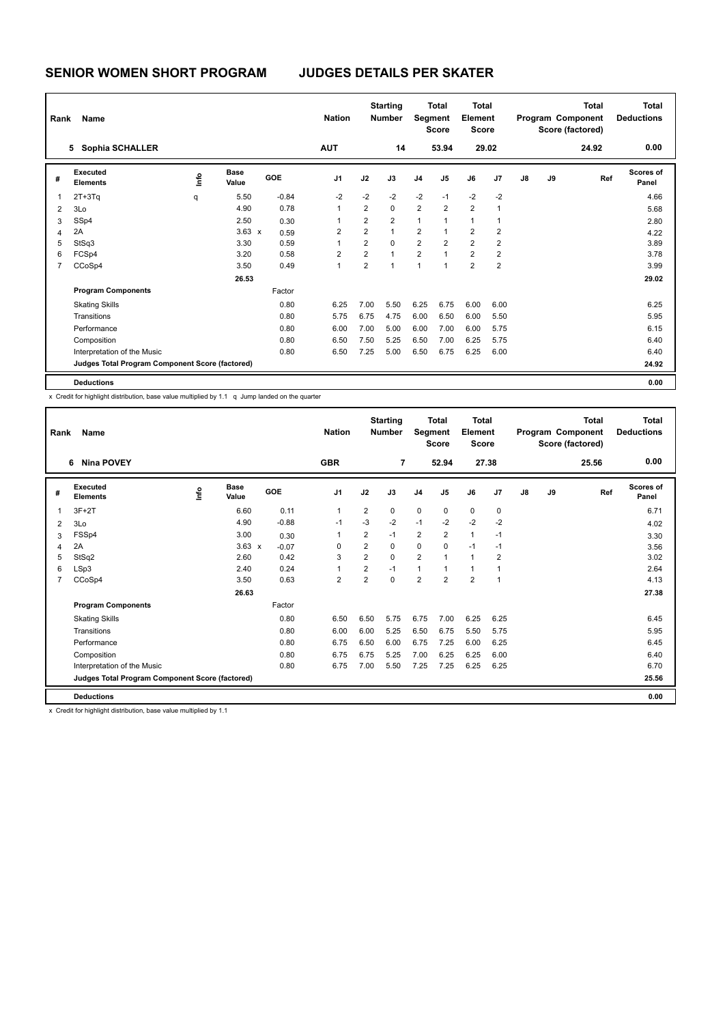| Rank           | Name                                            |      | <b>Nation</b>        |            | <b>Starting</b><br><b>Number</b> |                | <b>Total</b><br>Segment<br><b>Score</b> | <b>Total</b><br>Element<br><b>Score</b> |                |                |                         | <b>Total</b><br>Program Component<br>Score (factored) | <b>Total</b><br><b>Deductions</b> |       |                           |
|----------------|-------------------------------------------------|------|----------------------|------------|----------------------------------|----------------|-----------------------------------------|-----------------------------------------|----------------|----------------|-------------------------|-------------------------------------------------------|-----------------------------------|-------|---------------------------|
|                | <b>Sophia SCHALLER</b><br>5                     |      |                      |            | <b>AUT</b>                       |                | 14                                      |                                         | 53.94          |                | 29.02                   |                                                       |                                   | 24.92 | 0.00                      |
| #              | <b>Executed</b><br><b>Elements</b>              | ١mfo | <b>Base</b><br>Value | <b>GOE</b> | J <sub>1</sub>                   | J2             | J3                                      | J <sub>4</sub>                          | J <sub>5</sub> | J6             | J7                      | $\mathsf{J}8$                                         | J9                                | Ref   | <b>Scores of</b><br>Panel |
| 1              | $2T+3Tq$                                        | q    | 5.50                 | $-0.84$    | $-2$                             | $-2$           | $-2$                                    | $-2$                                    | $-1$           | $-2$           | $-2$                    |                                                       |                                   |       | 4.66                      |
| $\overline{2}$ | 3Lo                                             |      | 4.90                 | 0.78       | 1                                | $\overline{2}$ | $\mathbf 0$                             | 2                                       | $\overline{2}$ | $\overline{2}$ |                         |                                                       |                                   |       | 5.68                      |
| 3              | SSp4                                            |      | 2.50                 | 0.30       | 1                                | $\overline{2}$ | $\overline{2}$                          | $\mathbf{1}$                            | 1              | $\overline{1}$ |                         |                                                       |                                   |       | 2.80                      |
| 4              | 2A                                              |      | $3.63 \times$        | 0.59       | $\overline{2}$                   | $\overline{2}$ | $\mathbf{1}$                            | 2                                       | 1              | $\overline{2}$ | 2                       |                                                       |                                   |       | 4.22                      |
| 5              | StSq3                                           |      | 3.30                 | 0.59       |                                  | $\overline{2}$ | $\Omega$                                | $\overline{2}$                          | $\overline{2}$ | $\overline{2}$ | 2                       |                                                       |                                   |       | 3.89                      |
| 6              | FCSp4                                           |      | 3.20                 | 0.58       | $\overline{2}$                   | $\overline{2}$ | $\overline{1}$                          | $\overline{2}$                          | $\mathbf{1}$   | $\overline{2}$ | $\overline{\mathbf{c}}$ |                                                       |                                   |       | 3.78                      |
| $\overline{7}$ | CCoSp4                                          |      | 3.50                 | 0.49       | 1                                | $\overline{2}$ | $\overline{1}$                          | $\overline{1}$                          | 1              | $\overline{2}$ | $\overline{2}$          |                                                       |                                   |       | 3.99                      |
|                |                                                 |      | 26.53                |            |                                  |                |                                         |                                         |                |                |                         |                                                       |                                   |       | 29.02                     |
|                | <b>Program Components</b>                       |      |                      | Factor     |                                  |                |                                         |                                         |                |                |                         |                                                       |                                   |       |                           |
|                | <b>Skating Skills</b>                           |      |                      | 0.80       | 6.25                             | 7.00           | 5.50                                    | 6.25                                    | 6.75           | 6.00           | 6.00                    |                                                       |                                   |       | 6.25                      |
|                | Transitions                                     |      |                      | 0.80       | 5.75                             | 6.75           | 4.75                                    | 6.00                                    | 6.50           | 6.00           | 5.50                    |                                                       |                                   |       | 5.95                      |
|                | Performance                                     |      |                      | 0.80       | 6.00                             | 7.00           | 5.00                                    | 6.00                                    | 7.00           | 6.00           | 5.75                    |                                                       |                                   |       | 6.15                      |
|                | Composition                                     |      |                      | 0.80       | 6.50                             | 7.50           | 5.25                                    | 6.50                                    | 7.00           | 6.25           | 5.75                    |                                                       |                                   |       | 6.40                      |
|                | Interpretation of the Music                     |      |                      | 0.80       | 6.50                             | 7.25           | 5.00                                    | 6.50                                    | 6.75           | 6.25           | 6.00                    |                                                       |                                   |       | 6.40                      |
|                | Judges Total Program Component Score (factored) |      |                      |            |                                  |                |                                         |                                         |                |                |                         |                                                       |                                   |       | 24.92                     |
|                | <b>Deductions</b>                               |      |                      |            |                                  |                |                                         |                                         |                |                |                         |                                                       |                                   |       | 0.00                      |

x Credit for highlight distribution, base value multiplied by 1.1 q Jump landed on the quarter

| Rank           | Name                                            |      |                      |         | <b>Nation</b>  |                | <b>Starting</b><br><b>Number</b> | Segment        | <b>Total</b><br><b>Score</b> | <b>Total</b><br>Element<br><b>Score</b> |                |    |    | <b>Total</b><br>Program Component<br>Score (factored) | <b>Total</b><br><b>Deductions</b> |
|----------------|-------------------------------------------------|------|----------------------|---------|----------------|----------------|----------------------------------|----------------|------------------------------|-----------------------------------------|----------------|----|----|-------------------------------------------------------|-----------------------------------|
|                | <b>Nina POVEY</b><br>6                          |      |                      |         | <b>GBR</b>     |                | $\overline{7}$                   |                | 52.94                        |                                         | 27.38          |    |    | 25.56                                                 | 0.00                              |
| #              | Executed<br><b>Elements</b>                     | lnfo | <b>Base</b><br>Value | GOE     | J <sub>1</sub> | J2             | J3                               | J <sub>4</sub> | J <sub>5</sub>               | J6                                      | J7             | J8 | J9 | Ref                                                   | Scores of<br>Panel                |
| 1              | $3F+2T$                                         |      | 6.60                 | 0.11    | $\mathbf{1}$   | $\overline{2}$ | $\Omega$                         | 0              | $\mathbf 0$                  | $\mathbf 0$                             | 0              |    |    |                                                       | 6.71                              |
| $\overline{2}$ | 3Lo                                             |      | 4.90                 | $-0.88$ | $-1$           | $-3$           | $-2$                             | $-1$           | $-2$                         | $-2$                                    | $-2$           |    |    |                                                       | 4.02                              |
| 3              | FSSp4                                           |      | 3.00                 | 0.30    | $\overline{1}$ | $\overline{2}$ | $-1$                             | $\overline{2}$ | $\overline{2}$               | $\mathbf{1}$                            | $-1$           |    |    |                                                       | 3.30                              |
| $\overline{4}$ | 2A                                              |      | $3.63 \times$        | $-0.07$ | 0              | $\overline{2}$ | $\Omega$                         | 0              | 0                            | $-1$                                    | $-1$           |    |    |                                                       | 3.56                              |
| 5              | StSq2                                           |      | 2.60                 | 0.42    | 3              | 2              | $\Omega$                         | $\overline{2}$ | $\overline{1}$               | $\mathbf{1}$                            | $\overline{2}$ |    |    |                                                       | 3.02                              |
| 6              | LSp3                                            |      | 2.40                 | 0.24    | 1              | $\overline{2}$ | $-1$                             | 1              |                              | 1                                       | 1              |    |    |                                                       | 2.64                              |
| $\overline{7}$ | CCoSp4                                          |      | 3.50                 | 0.63    | $\overline{2}$ | 2              | $\Omega$                         | 2              | $\overline{2}$               | $\overline{2}$                          | $\overline{1}$ |    |    |                                                       | 4.13                              |
|                |                                                 |      | 26.63                |         |                |                |                                  |                |                              |                                         |                |    |    |                                                       | 27.38                             |
|                | <b>Program Components</b>                       |      |                      | Factor  |                |                |                                  |                |                              |                                         |                |    |    |                                                       |                                   |
|                | <b>Skating Skills</b>                           |      |                      | 0.80    | 6.50           | 6.50           | 5.75                             | 6.75           | 7.00                         | 6.25                                    | 6.25           |    |    |                                                       | 6.45                              |
|                | Transitions                                     |      |                      | 0.80    | 6.00           | 6.00           | 5.25                             | 6.50           | 6.75                         | 5.50                                    | 5.75           |    |    |                                                       | 5.95                              |
|                | Performance                                     |      |                      | 0.80    | 6.75           | 6.50           | 6.00                             | 6.75           | 7.25                         | 6.00                                    | 6.25           |    |    |                                                       | 6.45                              |
|                | Composition                                     |      |                      | 0.80    | 6.75           | 6.75           | 5.25                             | 7.00           | 6.25                         | 6.25                                    | 6.00           |    |    |                                                       | 6.40                              |
|                | Interpretation of the Music                     |      |                      | 0.80    | 6.75           | 7.00           | 5.50                             | 7.25           | 7.25                         | 6.25                                    | 6.25           |    |    |                                                       | 6.70                              |
|                | Judges Total Program Component Score (factored) |      |                      |         |                |                |                                  |                |                              |                                         |                |    |    |                                                       | 25.56                             |
|                | <b>Deductions</b>                               |      |                      |         |                |                |                                  |                |                              |                                         |                |    |    |                                                       | 0.00                              |

x Credit for highlight distribution, base value multiplied by 1.1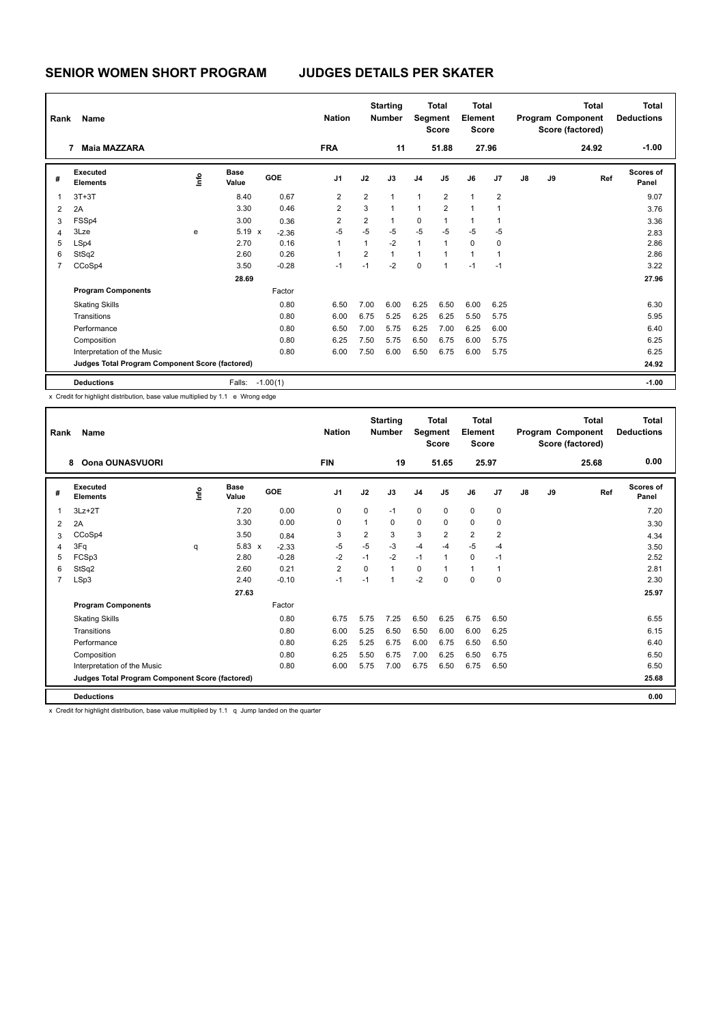| Rank                     | Name<br><b>Maia MAZZARA</b><br>7                |      |                      |            | <b>Nation</b>  |                | <b>Starting</b><br><b>Number</b> | Segment        | <b>Total</b><br><b>Score</b> | <b>Total</b><br><b>Element</b><br><b>Score</b> |                |    |    | <b>Total</b><br>Program Component<br>Score (factored) | <b>Total</b><br><b>Deductions</b> |
|--------------------------|-------------------------------------------------|------|----------------------|------------|----------------|----------------|----------------------------------|----------------|------------------------------|------------------------------------------------|----------------|----|----|-------------------------------------------------------|-----------------------------------|
|                          |                                                 |      |                      |            | <b>FRA</b>     |                | 11                               |                | 51.88                        | 27.96                                          |                |    |    | 24.92                                                 | $-1.00$                           |
| #                        | Executed<br><b>Elements</b>                     | lnfo | <b>Base</b><br>Value | <b>GOE</b> | J <sub>1</sub> | J2             | J3                               | J <sub>4</sub> | J5                           | J6                                             | J <sub>7</sub> | J8 | J9 | Ref                                                   | <b>Scores of</b><br>Panel         |
| $\overline{\phantom{a}}$ | $3T+3T$                                         |      | 8.40                 | 0.67       | $\overline{2}$ | 2              | $\overline{1}$                   | 1              | $\overline{2}$               | $\mathbf{1}$                                   | $\overline{2}$ |    |    |                                                       | 9.07                              |
| $\overline{2}$           | 2A                                              |      | 3.30                 | 0.46       | $\overline{2}$ | 3              | $\overline{1}$                   | $\mathbf{1}$   | $\overline{2}$               | -1                                             | 1              |    |    |                                                       | 3.76                              |
| 3                        | FSSp4                                           |      | 3.00                 | 0.36       | $\overline{2}$ | 2              | $\mathbf{1}$                     | 0              | 1                            | 1                                              |                |    |    |                                                       | 3.36                              |
| 4                        | 3Lze                                            | e    | $5.19 \times$        | $-2.36$    | $-5$           | $-5$           | $-5$                             | $-5$           | $-5$                         | $-5$                                           | $-5$           |    |    |                                                       | 2.83                              |
| 5                        | LSp4                                            |      | 2.70                 | 0.16       | 1              | $\mathbf{1}$   | $-2$                             | $\mathbf{1}$   | $\overline{1}$               | $\Omega$                                       | $\Omega$       |    |    |                                                       | 2.86                              |
| 6                        | StSq2                                           |      | 2.60                 | 0.26       | 1              | $\overline{2}$ | $\mathbf{1}$                     | 1              | $\overline{1}$               | $\mathbf{1}$                                   | 1              |    |    |                                                       | 2.86                              |
| $\overline{7}$           | CCoSp4                                          |      | 3.50                 | $-0.28$    | $-1$           | $-1$           | $-2$                             | 0              | $\overline{1}$               | $-1$                                           | $-1$           |    |    |                                                       | 3.22                              |
|                          |                                                 |      | 28.69                |            |                |                |                                  |                |                              |                                                |                |    |    |                                                       | 27.96                             |
|                          | <b>Program Components</b>                       |      |                      | Factor     |                |                |                                  |                |                              |                                                |                |    |    |                                                       |                                   |
|                          | <b>Skating Skills</b>                           |      |                      | 0.80       | 6.50           | 7.00           | 6.00                             | 6.25           | 6.50                         | 6.00                                           | 6.25           |    |    |                                                       | 6.30                              |
|                          | Transitions                                     |      |                      | 0.80       | 6.00           | 6.75           | 5.25                             | 6.25           | 6.25                         | 5.50                                           | 5.75           |    |    |                                                       | 5.95                              |
|                          | Performance                                     |      |                      | 0.80       | 6.50           | 7.00           | 5.75                             | 6.25           | 7.00                         | 6.25                                           | 6.00           |    |    |                                                       | 6.40                              |
|                          | Composition                                     |      |                      | 0.80       | 6.25           | 7.50           | 5.75                             | 6.50           | 6.75                         | 6.00                                           | 5.75           |    |    |                                                       | 6.25                              |
|                          | Interpretation of the Music                     |      |                      | 0.80       | 6.00           | 7.50           | 6.00                             | 6.50           | 6.75                         | 6.00                                           | 5.75           |    |    |                                                       | 6.25                              |
|                          | Judges Total Program Component Score (factored) |      |                      |            |                |                |                                  |                |                              |                                                |                |    |    |                                                       | 24.92                             |
|                          | <b>Deductions</b>                               |      | Falls:               | $-1.00(1)$ |                |                |                                  |                |                              |                                                |                |    |    |                                                       | $-1.00$                           |

x Credit for highlight distribution, base value multiplied by 1.1 e Wrong edge

| Rank           | Name                                            |      |                      |         | <b>Nation</b>  |                | <b>Starting</b><br><b>Number</b> |                | Total<br>Segment<br><b>Score</b> | Total<br>Element<br><b>Score</b> |       |               |    | <b>Total</b><br>Program Component<br>Score (factored) | <b>Total</b><br><b>Deductions</b> |
|----------------|-------------------------------------------------|------|----------------------|---------|----------------|----------------|----------------------------------|----------------|----------------------------------|----------------------------------|-------|---------------|----|-------------------------------------------------------|-----------------------------------|
|                | <b>Oona OUNASVUORI</b><br>8                     |      |                      |         | <b>FIN</b>     |                | 19                               |                | 51.65                            |                                  | 25.97 |               |    | 25.68                                                 | 0.00                              |
| #              | Executed<br><b>Elements</b>                     | lnfo | <b>Base</b><br>Value | GOE     | J <sub>1</sub> | J2             | J3                               | J <sub>4</sub> | J <sub>5</sub>                   | J6                               | J7    | $\mathsf{J}8$ | J9 | Ref                                                   | Scores of<br>Panel                |
| 1              | $3Lz + 2T$                                      |      | 7.20                 | 0.00    | 0              | 0              | $-1$                             | $\mathbf 0$    | $\mathbf 0$                      | $\mathbf 0$                      | 0     |               |    |                                                       | 7.20                              |
| $\overline{2}$ | 2A                                              |      | 3.30                 | 0.00    | 0              | 1              | 0                                | $\mathbf 0$    | 0                                | 0                                | 0     |               |    |                                                       | 3.30                              |
| 3              | CCoSp4                                          |      | 3.50                 | 0.84    | 3              | $\overline{2}$ | 3                                | 3              | $\overline{2}$                   | $\overline{2}$                   | 2     |               |    |                                                       | 4.34                              |
| 4              | 3Fq                                             | q    | 5.83<br>$\mathsf{x}$ | $-2.33$ | $-5$           | $-5$           | $-3$                             | $-4$           | $-4$                             | $-5$                             | $-4$  |               |    |                                                       | 3.50                              |
| 5              | FCSp3                                           |      | 2.80                 | $-0.28$ | $-2$           | $-1$           | $-2$                             | $-1$           | 1                                | $\Omega$                         | $-1$  |               |    |                                                       | 2.52                              |
| 6              | StSq2                                           |      | 2.60                 | 0.21    | $\overline{2}$ | 0              | $\mathbf{1}$                     | 0              | 1                                | $\mathbf{1}$                     | 1     |               |    |                                                       | 2.81                              |
| $\overline{7}$ | LSp3                                            |      | 2.40                 | $-0.10$ | $-1$           | $-1$           | $\overline{1}$                   | $-2$           | $\mathbf 0$                      | $\mathbf 0$                      | 0     |               |    |                                                       | 2.30                              |
|                |                                                 |      | 27.63                |         |                |                |                                  |                |                                  |                                  |       |               |    |                                                       | 25.97                             |
|                | <b>Program Components</b>                       |      |                      | Factor  |                |                |                                  |                |                                  |                                  |       |               |    |                                                       |                                   |
|                | <b>Skating Skills</b>                           |      |                      | 0.80    | 6.75           | 5.75           | 7.25                             | 6.50           | 6.25                             | 6.75                             | 6.50  |               |    |                                                       | 6.55                              |
|                | Transitions                                     |      |                      | 0.80    | 6.00           | 5.25           | 6.50                             | 6.50           | 6.00                             | 6.00                             | 6.25  |               |    |                                                       | 6.15                              |
|                | Performance                                     |      |                      | 0.80    | 6.25           | 5.25           | 6.75                             | 6.00           | 6.75                             | 6.50                             | 6.50  |               |    |                                                       | 6.40                              |
|                | Composition                                     |      |                      | 0.80    | 6.25           | 5.50           | 6.75                             | 7.00           | 6.25                             | 6.50                             | 6.75  |               |    |                                                       | 6.50                              |
|                | Interpretation of the Music                     |      |                      | 0.80    | 6.00           | 5.75           | 7.00                             | 6.75           | 6.50                             | 6.75                             | 6.50  |               |    |                                                       | 6.50                              |
|                | Judges Total Program Component Score (factored) |      |                      |         |                |                |                                  |                |                                  |                                  |       |               |    |                                                       | 25.68                             |
|                | <b>Deductions</b>                               |      |                      |         |                |                |                                  |                |                                  |                                  |       |               |    |                                                       | 0.00                              |

x Credit for highlight distribution, base value multiplied by 1.1 q Jump landed on the quarter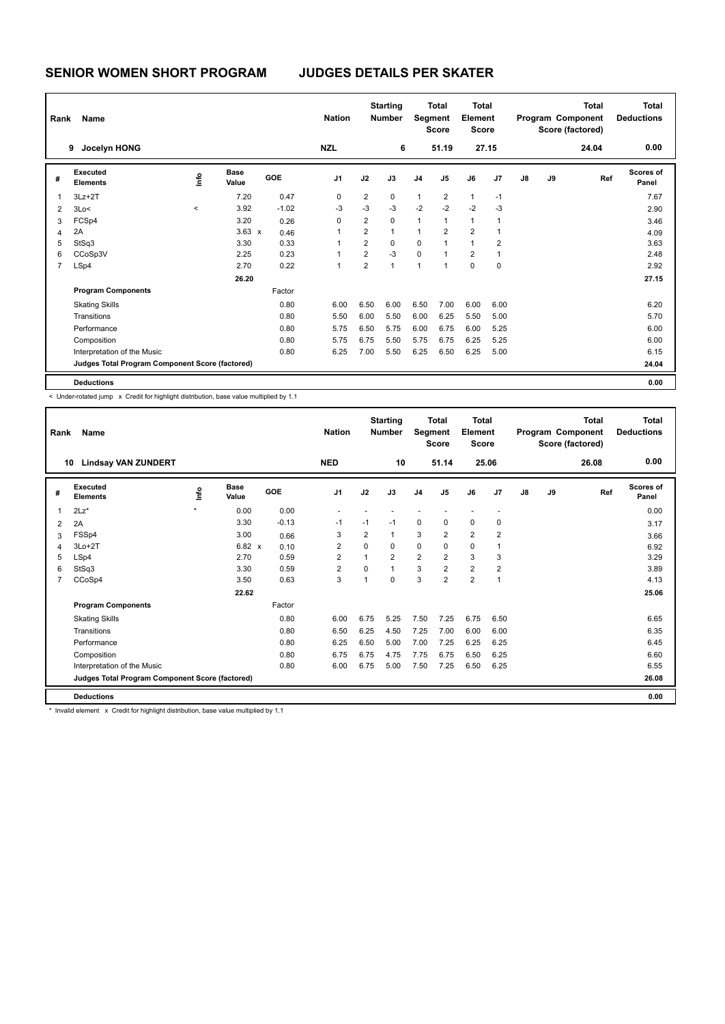| Rank           | Name                                            |       | <b>Nation</b>        |            | <b>Starting</b><br><b>Number</b> | Segment        | <b>Total</b><br><b>Score</b> | Total<br>Element<br><b>Score</b> |                |                |                | <b>Total</b><br>Program Component<br>Score (factored) | <b>Total</b><br><b>Deductions</b> |       |                    |
|----------------|-------------------------------------------------|-------|----------------------|------------|----------------------------------|----------------|------------------------------|----------------------------------|----------------|----------------|----------------|-------------------------------------------------------|-----------------------------------|-------|--------------------|
|                | Jocelyn HONG<br>9                               |       |                      |            | <b>NZL</b>                       |                | 6                            |                                  | 51.19          | 27.15          |                |                                                       |                                   | 24.04 | 0.00               |
| #              | Executed<br><b>Elements</b>                     | ١mfo  | <b>Base</b><br>Value | <b>GOE</b> | J <sub>1</sub>                   | J2             | J3                           | J <sub>4</sub>                   | J <sub>5</sub> | J6             | J7             | J8                                                    | J9                                | Ref   | Scores of<br>Panel |
| 1              | $3Lz + 2T$                                      |       | 7.20                 | 0.47       | 0                                | 2              | 0                            | $\mathbf{1}$                     | $\overline{2}$ | $\mathbf{1}$   | $-1$           |                                                       |                                   |       | 7.67               |
| $\overline{2}$ | 3Lo<                                            | $\,<$ | 3.92                 | $-1.02$    | $-3$                             | $-3$           | $-3$                         | $-2$                             | $-2$           | $-2$           | $-3$           |                                                       |                                   |       | 2.90               |
| 3              | FCSp4                                           |       | 3.20                 | 0.26       | 0                                | 2              | $\mathbf 0$                  | $\mathbf{1}$                     | $\overline{1}$ | $\mathbf{1}$   |                |                                                       |                                   |       | 3.46               |
| 4              | 2A                                              |       | $3.63 \times$        | 0.46       | 1                                | $\overline{2}$ | $\mathbf{1}$                 | $\mathbf{1}$                     | $\overline{2}$ | $\overline{2}$ |                |                                                       |                                   |       | 4.09               |
| 5              | StSq3                                           |       | 3.30                 | 0.33       | 1                                | $\overline{2}$ | $\Omega$                     | 0                                | 1              | $\mathbf{1}$   | $\overline{2}$ |                                                       |                                   |       | 3.63               |
| 6              | CCoSp3V                                         |       | 2.25                 | 0.23       | 1                                | $\overline{2}$ | $-3$                         | $\Omega$                         |                | $\overline{2}$ | 1              |                                                       |                                   |       | 2.48               |
| 7              | LSp4                                            |       | 2.70                 | 0.22       | 1                                | $\overline{2}$ | $\overline{1}$               | 1                                | $\overline{1}$ | $\Omega$       | $\mathbf 0$    |                                                       |                                   |       | 2.92               |
|                |                                                 |       | 26.20                |            |                                  |                |                              |                                  |                |                |                |                                                       |                                   |       | 27.15              |
|                | <b>Program Components</b>                       |       |                      | Factor     |                                  |                |                              |                                  |                |                |                |                                                       |                                   |       |                    |
|                | <b>Skating Skills</b>                           |       |                      | 0.80       | 6.00                             | 6.50           | 6.00                         | 6.50                             | 7.00           | 6.00           | 6.00           |                                                       |                                   |       | 6.20               |
|                | Transitions                                     |       |                      | 0.80       | 5.50                             | 6.00           | 5.50                         | 6.00                             | 6.25           | 5.50           | 5.00           |                                                       |                                   |       | 5.70               |
|                | Performance                                     |       |                      | 0.80       | 5.75                             | 6.50           | 5.75                         | 6.00                             | 6.75           | 6.00           | 5.25           |                                                       |                                   |       | 6.00               |
|                | Composition                                     |       |                      | 0.80       | 5.75                             | 6.75           | 5.50                         | 5.75                             | 6.75           | 6.25           | 5.25           |                                                       |                                   |       | 6.00               |
|                | Interpretation of the Music                     |       |                      | 0.80       | 6.25                             | 7.00           | 5.50                         | 6.25                             | 6.50           | 6.25           | 5.00           |                                                       |                                   |       | 6.15               |
|                | Judges Total Program Component Score (factored) |       |                      |            |                                  |                |                              |                                  |                |                |                |                                                       |                                   |       | 24.04              |
|                | <b>Deductions</b>                               |       |                      |            |                                  |                |                              |                                  |                |                |                |                                                       |                                   |       | 0.00               |

< Under-rotated jump x Credit for highlight distribution, base value multiplied by 1.1

| Rank           | <b>Name</b>                                     |         |                      |            | <b>Nation</b>  |                | <b>Starting</b><br><b>Number</b> | Segment        | <b>Total</b><br><b>Score</b> | <b>Total</b><br>Element<br><b>Score</b> |                |    |    | <b>Total</b><br>Program Component<br>Score (factored) | <b>Total</b><br><b>Deductions</b> |
|----------------|-------------------------------------------------|---------|----------------------|------------|----------------|----------------|----------------------------------|----------------|------------------------------|-----------------------------------------|----------------|----|----|-------------------------------------------------------|-----------------------------------|
|                | <b>Lindsay VAN ZUNDERT</b><br>10                |         |                      |            | <b>NED</b>     |                | 10                               |                | 51.14                        |                                         | 25.06          |    |    | 26.08                                                 | 0.00                              |
| #              | Executed<br><b>Elements</b>                     | ١nfo    | <b>Base</b><br>Value | <b>GOE</b> | J <sub>1</sub> | J2             | J3                               | J <sub>4</sub> | J <sub>5</sub>               | J6                                      | J <sub>7</sub> | J8 | J9 | Ref                                                   | Scores of<br>Panel                |
| $\overline{1}$ | $2Lz$ *                                         | $\star$ | 0.00                 | 0.00       |                |                |                                  |                |                              |                                         |                |    |    |                                                       | 0.00                              |
| 2              | 2A                                              |         | 3.30                 | $-0.13$    | $-1$           | $-1$           | $-1$                             | $\mathbf 0$    | $\mathbf 0$                  | $\mathbf 0$                             | $\pmb{0}$      |    |    |                                                       | 3.17                              |
| 3              | FSS <sub>p4</sub>                               |         | 3.00                 | 0.66       | 3              | $\overline{2}$ | 1                                | 3              | 2                            | $\overline{2}$                          | 2              |    |    |                                                       | 3.66                              |
| 4              | $3Lo+2T$                                        |         | $6.82 \times$        | 0.10       | $\overline{2}$ | $\Omega$       | $\Omega$                         | $\mathbf 0$    | $\Omega$                     | $\mathbf 0$                             | $\mathbf 1$    |    |    |                                                       | 6.92                              |
| 5              | LSp4                                            |         | 2.70                 | 0.59       | $\overline{2}$ | 1              | $\overline{2}$                   | $\overline{2}$ | $\overline{2}$               | 3                                       | 3              |    |    |                                                       | 3.29                              |
| 6              | StSq3                                           |         | 3.30                 | 0.59       | $\overline{2}$ | $\Omega$       | $\overline{1}$                   | 3              | $\overline{2}$               | $\overline{2}$                          | $\overline{2}$ |    |    |                                                       | 3.89                              |
| $\overline{7}$ | CCoSp4                                          |         | 3.50                 | 0.63       | 3              | 1              | $\Omega$                         | 3              | $\overline{2}$               | $\overline{2}$                          | $\overline{1}$ |    |    |                                                       | 4.13                              |
|                |                                                 |         | 22.62                |            |                |                |                                  |                |                              |                                         |                |    |    |                                                       | 25.06                             |
|                | <b>Program Components</b>                       |         |                      | Factor     |                |                |                                  |                |                              |                                         |                |    |    |                                                       |                                   |
|                | <b>Skating Skills</b>                           |         |                      | 0.80       | 6.00           | 6.75           | 5.25                             | 7.50           | 7.25                         | 6.75                                    | 6.50           |    |    |                                                       | 6.65                              |
|                | Transitions                                     |         |                      | 0.80       | 6.50           | 6.25           | 4.50                             | 7.25           | 7.00                         | 6.00                                    | 6.00           |    |    |                                                       | 6.35                              |
|                | Performance                                     |         |                      | 0.80       | 6.25           | 6.50           | 5.00                             | 7.00           | 7.25                         | 6.25                                    | 6.25           |    |    |                                                       | 6.45                              |
|                | Composition                                     |         |                      | 0.80       | 6.75           | 6.75           | 4.75                             | 7.75           | 6.75                         | 6.50                                    | 6.25           |    |    |                                                       | 6.60                              |
|                | Interpretation of the Music                     |         |                      | 0.80       | 6.00           | 6.75           | 5.00                             | 7.50           | 7.25                         | 6.50                                    | 6.25           |    |    |                                                       | 6.55                              |
|                | Judges Total Program Component Score (factored) |         |                      |            |                |                |                                  |                |                              |                                         |                |    |    |                                                       | 26.08                             |
|                | <b>Deductions</b>                               |         |                      |            |                |                |                                  |                |                              |                                         |                |    |    |                                                       | 0.00                              |
|                | -                                               |         |                      | .          |                |                |                                  |                |                              |                                         |                |    |    |                                                       |                                   |

Invalid element  $x$  Credit for highlight distribution, base value multiplied by 1.1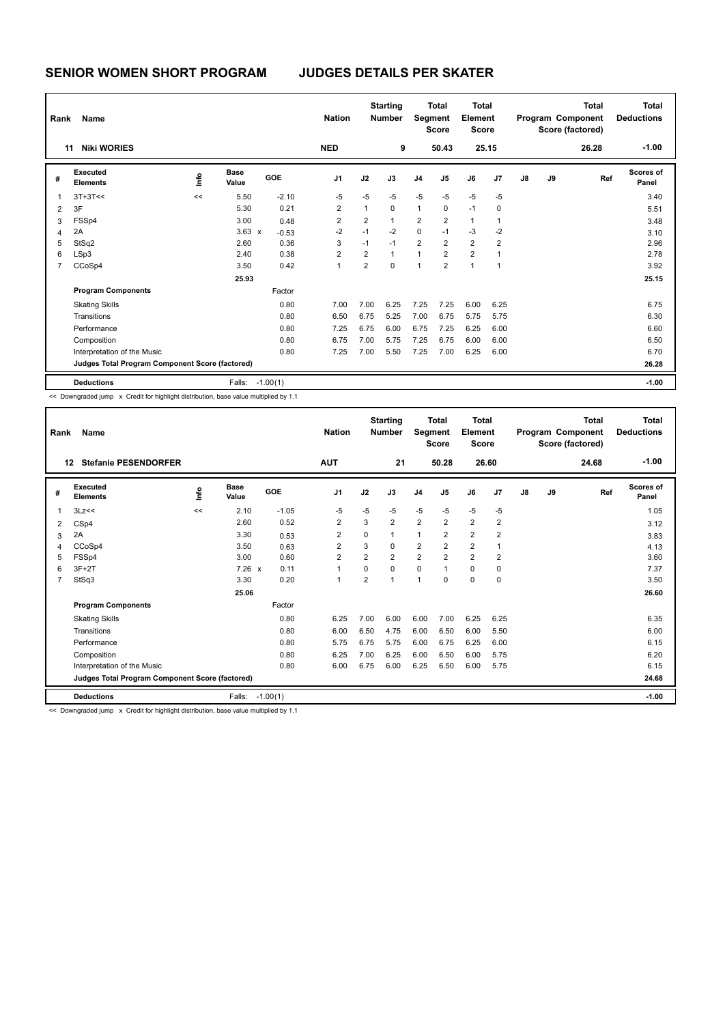| Rank           | Name                                            |    |                      |            | <b>Nation</b>  |                | <b>Starting</b><br><b>Number</b> | Segment        | <b>Total</b><br><b>Score</b> | <b>Total</b><br>Element<br><b>Score</b> |                |    |    | <b>Total</b><br>Program Component<br>Score (factored) | <b>Total</b><br><b>Deductions</b> |
|----------------|-------------------------------------------------|----|----------------------|------------|----------------|----------------|----------------------------------|----------------|------------------------------|-----------------------------------------|----------------|----|----|-------------------------------------------------------|-----------------------------------|
|                | <b>Niki WORIES</b><br>11                        |    |                      |            | <b>NED</b>     |                | 9                                |                | 50.43                        | 25.15                                   |                |    |    | 26.28                                                 | $-1.00$                           |
| #              | Executed<br><b>Elements</b>                     | ١m | <b>Base</b><br>Value | GOE        | J <sub>1</sub> | J2             | J3                               | J <sub>4</sub> | J5                           | J6                                      | J <sub>7</sub> | J8 | J9 | Ref                                                   | Scores of<br>Panel                |
| 1              | $3T+3T<<$                                       | << | 5.50                 | $-2.10$    | $-5$           | $-5$           | $-5$                             | $-5$           | $-5$                         | $-5$                                    | $-5$           |    |    |                                                       | 3.40                              |
| 2              | 3F                                              |    | 5.30                 | 0.21       | $\overline{2}$ | $\mathbf{1}$   | $\mathbf 0$                      | $\mathbf{1}$   | 0                            | $-1$                                    | $\mathbf 0$    |    |    |                                                       | 5.51                              |
| 3              | FSSp4                                           |    | 3.00                 | 0.48       | 2              | 2              | $\mathbf{1}$                     | 2              | $\overline{2}$               | $\mathbf{1}$                            | 1              |    |    |                                                       | 3.48                              |
| 4              | 2A                                              |    | $3.63 \times$        | $-0.53$    | $-2$           | $-1$           | $-2$                             | $\mathbf 0$    | $-1$                         | $-3$                                    | $-2$           |    |    |                                                       | 3.10                              |
| 5              | StSq2                                           |    | 2.60                 | 0.36       | 3              | $-1$           | $-1$                             | $\overline{2}$ | $\overline{2}$               | $\overline{2}$                          | $\overline{2}$ |    |    |                                                       | 2.96                              |
| 6              | LSp3                                            |    | 2.40                 | 0.38       | $\overline{2}$ | $\overline{2}$ | $\mathbf{1}$                     | 1              | $\overline{2}$               | $\overline{2}$                          | 1              |    |    |                                                       | 2.78                              |
| $\overline{7}$ | CCoSp4                                          |    | 3.50                 | 0.42       | 1              | $\overline{2}$ | $\Omega$                         | 1              | $\overline{2}$               | $\overline{1}$                          | $\mathbf 1$    |    |    |                                                       | 3.92                              |
|                |                                                 |    | 25.93                |            |                |                |                                  |                |                              |                                         |                |    |    |                                                       | 25.15                             |
|                | <b>Program Components</b>                       |    |                      | Factor     |                |                |                                  |                |                              |                                         |                |    |    |                                                       |                                   |
|                | <b>Skating Skills</b>                           |    |                      | 0.80       | 7.00           | 7.00           | 6.25                             | 7.25           | 7.25                         | 6.00                                    | 6.25           |    |    |                                                       | 6.75                              |
|                | Transitions                                     |    |                      | 0.80       | 6.50           | 6.75           | 5.25                             | 7.00           | 6.75                         | 5.75                                    | 5.75           |    |    |                                                       | 6.30                              |
|                | Performance                                     |    |                      | 0.80       | 7.25           | 6.75           | 6.00                             | 6.75           | 7.25                         | 6.25                                    | 6.00           |    |    |                                                       | 6.60                              |
|                | Composition                                     |    |                      | 0.80       | 6.75           | 7.00           | 5.75                             | 7.25           | 6.75                         | 6.00                                    | 6.00           |    |    |                                                       | 6.50                              |
|                | Interpretation of the Music                     |    |                      | 0.80       | 7.25           | 7.00           | 5.50                             | 7.25           | 7.00                         | 6.25                                    | 6.00           |    |    |                                                       | 6.70                              |
|                | Judges Total Program Component Score (factored) |    |                      |            |                |                |                                  |                |                              |                                         |                |    |    |                                                       | 26.28                             |
|                | <b>Deductions</b>                               |    | Falls:               | $-1.00(1)$ |                |                |                                  |                |                              |                                         |                |    |    |                                                       | $-1.00$                           |

<< Downgraded jump x Credit for highlight distribution, base value multiplied by 1.1

| Rank           | Name                                                                                 |    |                      |            | <b>Nation</b>  |                | <b>Starting</b><br><b>Number</b> | <b>Segment</b> | <b>Total</b><br><b>Score</b> | <b>Total</b><br>Element<br><b>Score</b> |                |               |    | <b>Total</b><br>Program Component<br>Score (factored) | <b>Total</b><br><b>Deductions</b> |
|----------------|--------------------------------------------------------------------------------------|----|----------------------|------------|----------------|----------------|----------------------------------|----------------|------------------------------|-----------------------------------------|----------------|---------------|----|-------------------------------------------------------|-----------------------------------|
| 12             | <b>Stefanie PESENDORFER</b>                                                          |    |                      |            | <b>AUT</b>     |                | 21                               |                | 50.28                        | 26.60                                   |                |               |    | 24.68                                                 | $-1.00$                           |
| #              | Executed<br><b>Elements</b>                                                          | ۴d | <b>Base</b><br>Value | GOE        | J <sub>1</sub> | J2             | J3                               | J <sub>4</sub> | J <sub>5</sub>               | J6                                      | J <sub>7</sub> | $\mathsf{J}8$ | J9 | Ref                                                   | Scores of<br>Panel                |
| 1              | 3Lz<<                                                                                | << | 2.10                 | $-1.05$    | $-5$           | $-5$           | $-5$                             | $-5$           | $-5$                         | $-5$                                    | $-5$           |               |    |                                                       | 1.05                              |
| 2              | CSp4                                                                                 |    | 2.60                 | 0.52       | $\overline{2}$ | 3              | $\overline{2}$                   | $\overline{2}$ | $\overline{2}$               | $\overline{2}$                          | $\overline{2}$ |               |    |                                                       | 3.12                              |
| 3              | 2A                                                                                   |    | 3.30                 | 0.53       | $\overline{2}$ | 0              | 1                                | $\mathbf{1}$   | $\overline{2}$               | $\overline{2}$                          | $\overline{2}$ |               |    |                                                       | 3.83                              |
| 4              | CCoSp4                                                                               |    | 3.50                 | 0.63       | $\overline{2}$ | 3              | 0                                | $\overline{2}$ | $\overline{2}$               | $\overline{2}$                          | $\overline{1}$ |               |    |                                                       | 4.13                              |
| 5              | FSSp4                                                                                |    | 3.00                 | 0.60       | $\overline{2}$ | $\overline{2}$ | $\overline{2}$                   | $\overline{2}$ | $\overline{2}$               | $\overline{2}$                          | $\overline{2}$ |               |    |                                                       | 3.60                              |
| 6              | $3F+2T$                                                                              |    | $7.26 \times$        | 0.11       | $\overline{1}$ | $\Omega$       | $\Omega$                         | $\mathbf 0$    | 1                            | $\Omega$                                | $\mathbf 0$    |               |    |                                                       | 7.37                              |
| $\overline{7}$ | StSq3                                                                                |    | 3.30                 | 0.20       | $\mathbf{1}$   | $\overline{2}$ | 1                                | $\overline{1}$ | $\mathbf 0$                  | 0                                       | $\mathbf 0$    |               |    |                                                       | 3.50                              |
|                |                                                                                      |    | 25.06                |            |                |                |                                  |                |                              |                                         |                |               |    |                                                       | 26.60                             |
|                | <b>Program Components</b>                                                            |    |                      | Factor     |                |                |                                  |                |                              |                                         |                |               |    |                                                       |                                   |
|                | <b>Skating Skills</b>                                                                |    |                      | 0.80       | 6.25           | 7.00           | 6.00                             | 6.00           | 7.00                         | 6.25                                    | 6.25           |               |    |                                                       | 6.35                              |
|                | Transitions                                                                          |    |                      | 0.80       | 6.00           | 6.50           | 4.75                             | 6.00           | 6.50                         | 6.00                                    | 5.50           |               |    |                                                       | 6.00                              |
|                | Performance                                                                          |    |                      | 0.80       | 5.75           | 6.75           | 5.75                             | 6.00           | 6.75                         | 6.25                                    | 6.00           |               |    |                                                       | 6.15                              |
|                | Composition                                                                          |    |                      | 0.80       | 6.25           | 7.00           | 6.25                             | 6.00           | 6.50                         | 6.00                                    | 5.75           |               |    |                                                       | 6.20                              |
|                | Interpretation of the Music                                                          |    |                      | 0.80       | 6.00           | 6.75           | 6.00                             | 6.25           | 6.50                         | 6.00                                    | 5.75           |               |    |                                                       | 6.15                              |
|                | Judges Total Program Component Score (factored)                                      |    |                      |            |                |                |                                  |                |                              |                                         |                |               |    |                                                       | 24.68                             |
|                | <b>Deductions</b>                                                                    |    | Falls:               | $-1.00(1)$ |                |                |                                  |                |                              |                                         |                |               |    |                                                       | $-1.00$                           |
|                | << Downgraded jump x Credit for highlight distribution, base value multiplied by 1.1 |    |                      |            |                |                |                                  |                |                              |                                         |                |               |    |                                                       |                                   |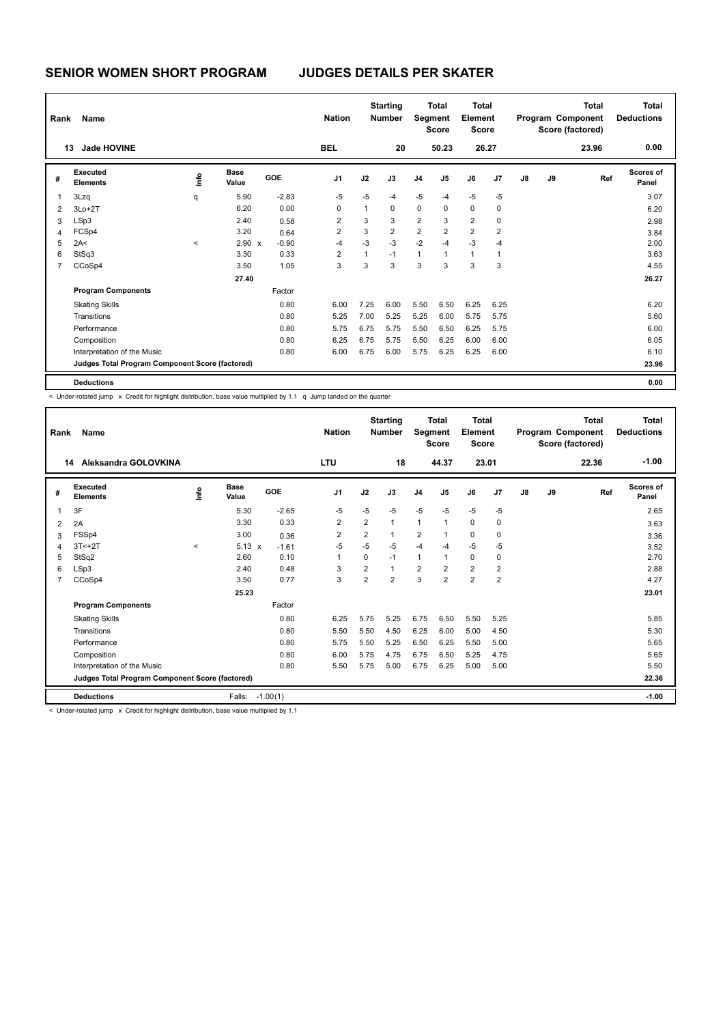# **SENIOR WOMEN SHORT PROGRAM JUDGES DETAILS PER SKATER**

| Rank           | Name                                            |         |                      |            | <b>Nation</b>  |              | <b>Starting</b><br><b>Number</b> | <b>Total</b><br>Segment<br><b>Score</b> |                | <b>Total</b><br>Element<br><b>Score</b> |                | <b>Total</b><br>Program Component<br>Score (factored) |    |       | <b>Total</b><br><b>Deductions</b> |
|----------------|-------------------------------------------------|---------|----------------------|------------|----------------|--------------|----------------------------------|-----------------------------------------|----------------|-----------------------------------------|----------------|-------------------------------------------------------|----|-------|-----------------------------------|
|                | <b>Jade HOVINE</b><br>13                        |         |                      |            | <b>BEL</b>     |              | 20                               |                                         | 50.23          |                                         | 26.27          |                                                       |    | 23.96 | 0.00                              |
| #              | Executed<br><b>Elements</b>                     | lnfo    | <b>Base</b><br>Value | <b>GOE</b> | J <sub>1</sub> | J2           | J3                               | J <sub>4</sub>                          | J <sub>5</sub> | J6                                      | J7             | J8                                                    | J9 | Ref   | <b>Scores of</b><br>Panel         |
| 1              | 3Lzq                                            | q       | 5.90                 | $-2.83$    | $-5$           | $-5$         | -4                               | $-5$                                    | $-4$           | $-5$                                    | $-5$           |                                                       |    |       | 3.07                              |
| $\overline{2}$ | $3Lo+2T$                                        |         | 6.20                 | 0.00       | 0              | $\mathbf{1}$ | $\mathbf 0$                      | $\mathbf 0$                             | $\mathbf 0$    | $\mathbf 0$                             | $\mathbf 0$    |                                                       |    |       | 6.20                              |
| 3              | LSp3                                            |         | 2.40                 | 0.58       | 2              | 3            | 3                                | $\overline{2}$                          | 3              | $\overline{2}$                          | $\mathbf 0$    |                                                       |    |       | 2.98                              |
| 4              | FCSp4                                           |         | 3.20                 | 0.64       | $\overline{2}$ | 3            | $\overline{2}$                   | $\overline{2}$                          | $\overline{2}$ | $\overline{2}$                          | $\overline{2}$ |                                                       |    |       | 3.84                              |
| 5              | 2A<                                             | $\prec$ | 2.90 x               | $-0.90$    | $-4$           | $-3$         | $-3$                             | $-2$                                    | $-4$           | $-3$                                    | $-4$           |                                                       |    |       | 2.00                              |
| 6              | StSq3                                           |         | 3.30                 | 0.33       | 2              | 1            | $-1$                             | $\mathbf{1}$                            | $\overline{1}$ | $\mathbf{1}$                            | 1              |                                                       |    |       | 3.63                              |
| $\overline{7}$ | CCoSp4                                          |         | 3.50                 | 1.05       | 3              | 3            | 3                                | 3                                       | 3              | 3                                       | 3              |                                                       |    |       | 4.55                              |
|                |                                                 |         | 27.40                |            |                |              |                                  |                                         |                |                                         |                |                                                       |    |       | 26.27                             |
|                | <b>Program Components</b>                       |         |                      | Factor     |                |              |                                  |                                         |                |                                         |                |                                                       |    |       |                                   |
|                | <b>Skating Skills</b>                           |         |                      | 0.80       | 6.00           | 7.25         | 6.00                             | 5.50                                    | 6.50           | 6.25                                    | 6.25           |                                                       |    |       | 6.20                              |
|                | Transitions                                     |         |                      | 0.80       | 5.25           | 7.00         | 5.25                             | 5.25                                    | 6.00           | 5.75                                    | 5.75           |                                                       |    |       | 5.60                              |
|                | Performance                                     |         |                      | 0.80       | 5.75           | 6.75         | 5.75                             | 5.50                                    | 6.50           | 6.25                                    | 5.75           |                                                       |    |       | 6.00                              |
|                | Composition                                     |         |                      | 0.80       | 6.25           | 6.75         | 5.75                             | 5.50                                    | 6.25           | 6.00                                    | 6.00           |                                                       |    |       | 6.05                              |
|                | Interpretation of the Music                     |         |                      | 0.80       | 6.00           | 6.75         | 6.00                             | 5.75                                    | 6.25           | 6.25                                    | 6.00           |                                                       |    |       | 6.10                              |
|                | Judges Total Program Component Score (factored) |         |                      |            |                |              |                                  |                                         |                |                                         |                |                                                       |    |       | 23.96                             |
|                | <b>Deductions</b>                               |         |                      |            |                |              |                                  |                                         |                |                                         |                |                                                       |    |       | 0.00                              |

< Under-rotated jump x Credit for highlight distribution, base value multiplied by 1.1 q Jump landed on the quarter

| Rank                                                     | <b>Name</b>                 |       |                      |            | <b>Nation</b>  | <b>Starting</b><br><b>Number</b> |                | <b>Total</b><br>Segment<br><b>Score</b> |                | <b>Total</b><br>Element<br><b>Score</b> |                         | <b>Total</b><br>Program Component<br>Score (factored) |    |       | <b>Total</b><br><b>Deductions</b> |
|----------------------------------------------------------|-----------------------------|-------|----------------------|------------|----------------|----------------------------------|----------------|-----------------------------------------|----------------|-----------------------------------------|-------------------------|-------------------------------------------------------|----|-------|-----------------------------------|
|                                                          | Aleksandra GOLOVKINA<br>14  |       |                      |            | <b>LTU</b>     |                                  | 18             |                                         | 44.37          |                                         | 23.01                   |                                                       |    | 22.36 | $-1.00$                           |
| #                                                        | Executed<br><b>Elements</b> | Info  | <b>Base</b><br>Value | <b>GOE</b> | J <sub>1</sub> | J2                               | J3             | J <sub>4</sub>                          | J <sub>5</sub> | J6                                      | J <sub>7</sub>          | $\mathsf{J}8$                                         | J9 | Ref   | Scores of<br>Panel                |
| 1                                                        | 3F                          |       | 5.30                 | $-2.65$    | $-5$           | $-5$                             | $-5$           | $-5$                                    | $-5$           | $-5$                                    | $-5$                    |                                                       |    |       | 2.65                              |
| $\overline{2}$                                           | 2A                          |       | 3.30                 | 0.33       | 2              | $\overline{2}$                   | $\mathbf{1}$   | $\mathbf{1}$                            | $\overline{1}$ | $\mathbf 0$                             | 0                       |                                                       |    |       | 3.63                              |
| 3                                                        | FSSp4                       |       | 3.00                 | 0.36       | 2              | $\overline{2}$                   | $\mathbf{1}$   | $\overline{2}$                          | 1              | $\pmb{0}$                               | 0                       |                                                       |    |       | 3.36                              |
| 4                                                        | $3T < +2T$                  | $\,<$ | $5.13 \times$        | $-1.61$    | $-5$           | $-5$                             | $-5$           | $-4$                                    | $-4$           | $-5$                                    | $-5$                    |                                                       |    |       | 3.52                              |
| 5                                                        | StSq2                       |       | 2.60                 | 0.10       | 1              | 0                                | $-1$           | $\mathbf{1}$                            | 1              | $\mathbf 0$                             | 0                       |                                                       |    |       | 2.70                              |
| 6                                                        | LSp3                        |       | 2.40                 | 0.48       | 3              | $\overline{2}$                   | $\mathbf{1}$   | $\overline{2}$                          | $\overline{2}$ | $\overline{2}$                          | $\overline{\mathbf{c}}$ |                                                       |    |       | 2.88                              |
| $\overline{7}$                                           | CCoSp4                      |       | 3.50                 | 0.77       | 3              | $\overline{2}$                   | $\overline{2}$ | 3                                       | $\overline{2}$ | $\overline{2}$                          | $\overline{2}$          |                                                       |    |       | 4.27                              |
|                                                          |                             |       | 25.23                |            |                |                                  |                |                                         |                |                                         |                         |                                                       |    |       | 23.01                             |
|                                                          | <b>Program Components</b>   |       |                      | Factor     |                |                                  |                |                                         |                |                                         |                         |                                                       |    |       |                                   |
|                                                          | <b>Skating Skills</b>       |       |                      | 0.80       | 6.25           | 5.75                             | 5.25           | 6.75                                    | 6.50           | 5.50                                    | 5.25                    |                                                       |    |       | 5.85                              |
|                                                          | Transitions                 |       |                      | 0.80       | 5.50           | 5.50                             | 4.50           | 6.25                                    | 6.00           | 5.00                                    | 4.50                    |                                                       |    |       | 5.30                              |
|                                                          | Performance                 |       |                      | 0.80       | 5.75           | 5.50                             | 5.25           | 6.50                                    | 6.25           | 5.50                                    | 5.00                    |                                                       |    |       | 5.65                              |
|                                                          | Composition                 |       |                      | 0.80       | 6.00           | 5.75                             | 4.75           | 6.75                                    | 6.50           | 5.25                                    | 4.75                    |                                                       |    |       | 5.65                              |
|                                                          | Interpretation of the Music |       |                      | 0.80       | 5.50           | 5.75                             | 5.00           | 6.75                                    | 6.25           | 5.00                                    | 5.00                    |                                                       |    |       | 5.50                              |
| Judges Total Program Component Score (factored)<br>22.36 |                             |       |                      |            |                |                                  |                |                                         |                |                                         |                         |                                                       |    |       |                                   |
|                                                          | <b>Deductions</b>           |       | Falls:               | $-1.00(1)$ |                |                                  |                |                                         |                |                                         |                         |                                                       |    |       | $-1.00$                           |
|                                                          |                             |       |                      |            |                |                                  |                |                                         |                |                                         |                         |                                                       |    |       |                                   |

 $<$  Under-rotated jump  $\times$  Credit for highlight distribution, base value multiplied by 1.1